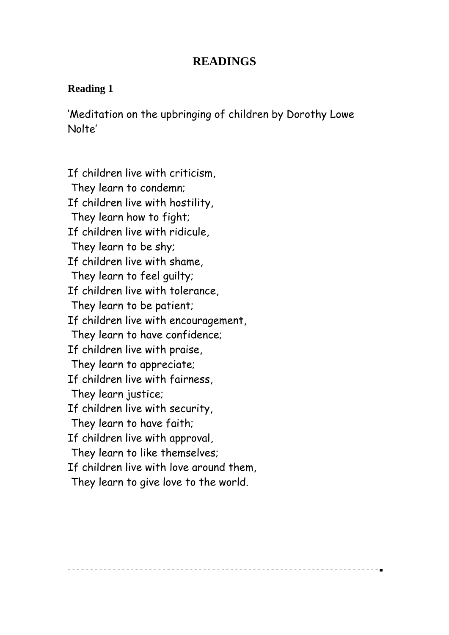## **READINGS**

#### **Reading 1**

'Meditation on the upbringing of children by Dorothy Lowe Nolte'

If children live with criticism, They learn to condemn; If children live with hostility, They learn how to fight; If children live with ridicule, They learn to be shy; If children live with shame, They learn to feel guilty; If children live with tolerance, They learn to be patient; If children live with encouragement, They learn to have confidence; If children live with praise, They learn to appreciate; If children live with fairness, They learn justice; If children live with security, They learn to have faith; If children live with approval, They learn to like themselves; If children live with love around them, They learn to give love to the world.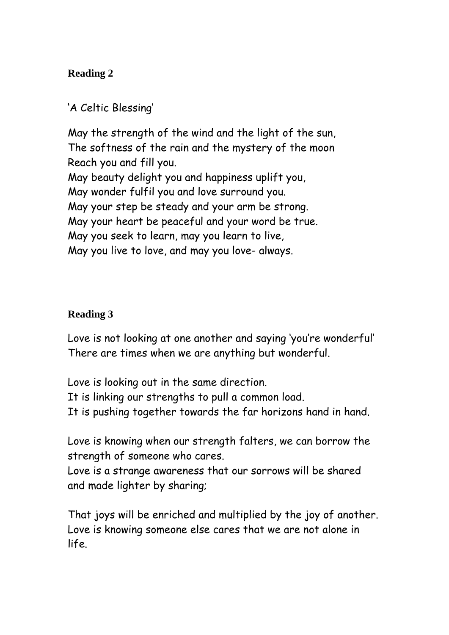# 'A Celtic Blessing'

May the strength of the wind and the light of the sun, The softness of the rain and the mystery of the moon Reach you and fill you. May beauty delight you and happiness uplift you, May wonder fulfil you and love surround you. May your step be steady and your arm be strong. May your heart be peaceful and your word be true. May you seek to learn, may you learn to live, May you live to love, and may you love- always.

## **Reading 3**

Love is not looking at one another and saying 'you're wonderful' There are times when we are anything but wonderful.

Love is looking out in the same direction. It is linking our strengths to pull a common load. It is pushing together towards the far horizons hand in hand.

Love is knowing when our strength falters, we can borrow the strength of someone who cares.

Love is a strange awareness that our sorrows will be shared and made lighter by sharing;

That joys will be enriched and multiplied by the joy of another. Love is knowing someone else cares that we are not alone in life.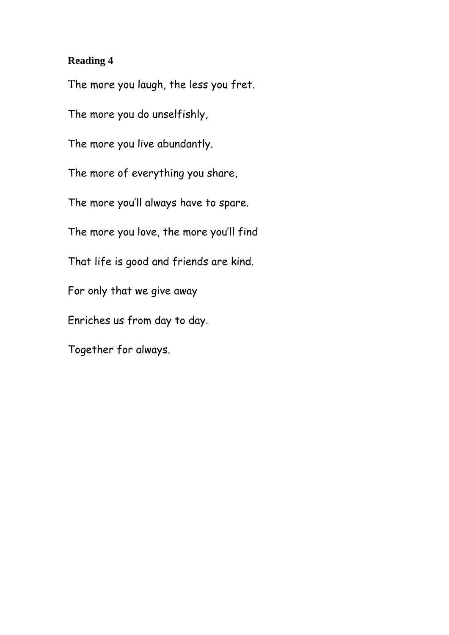The more you laugh, the less you fret.

The more you do unselfishly,

The more you live abundantly.

The more of everything you share,

The more you'll always have to spare.

The more you love, the more you'll find

That life is good and friends are kind.

For only that we give away

Enriches us from day to day.

Together for always.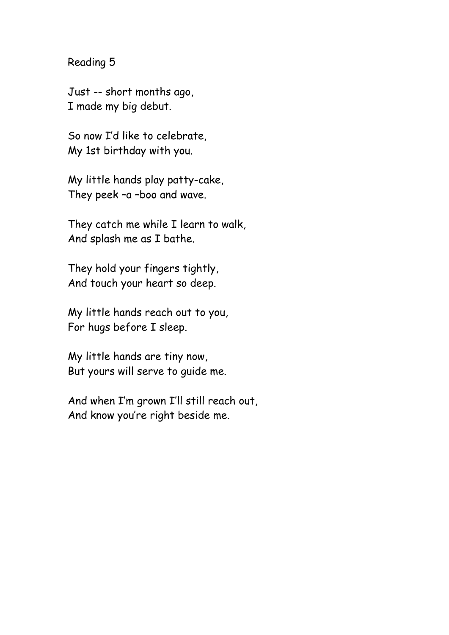Just -- short months ago, I made my big debut.

So now I'd like to celebrate, My 1st birthday with you.

My little hands play patty-cake, They peek –a –boo and wave.

They catch me while I learn to walk, And splash me as I bathe.

They hold your fingers tightly, And touch your heart so deep.

My little hands reach out to you, For hugs before I sleep.

My little hands are tiny now, But yours will serve to guide me.

And when I'm grown I'll still reach out, And know you're right beside me.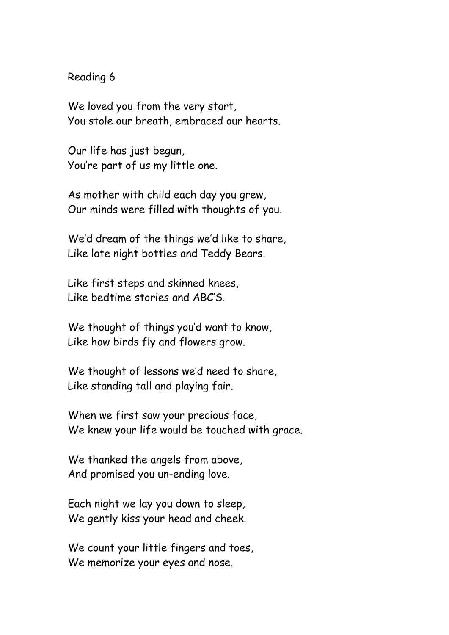We loved you from the very start, You stole our breath, embraced our hearts.

Our life has just begun, You're part of us my little one.

As mother with child each day you grew, Our minds were filled with thoughts of you.

We'd dream of the things we'd like to share, Like late night bottles and Teddy Bears.

Like first steps and skinned knees, Like bedtime stories and ABC'S.

We thought of things you'd want to know, Like how birds fly and flowers grow.

We thought of lessons we'd need to share, Like standing tall and playing fair.

When we first saw your precious face, We knew your life would be touched with grace.

We thanked the angels from above, And promised you un-ending love.

Each night we lay you down to sleep, We gently kiss your head and cheek.

We count your little fingers and toes, We memorize your eyes and nose.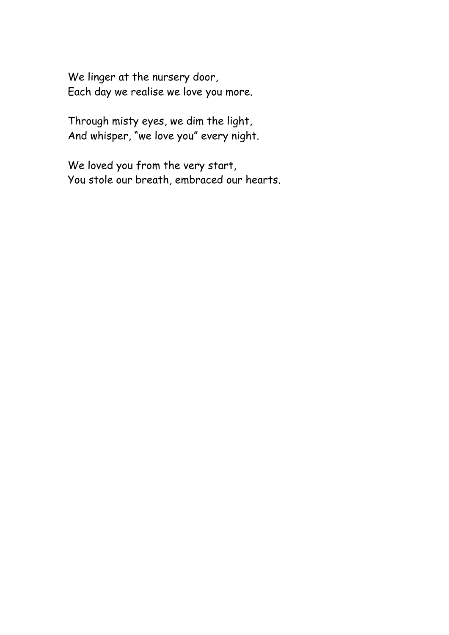We linger at the nursery door, Each day we realise we love you more.

Through misty eyes, we dim the light, And whisper, "we love you" every night.

We loved you from the very start, You stole our breath, embraced our hearts.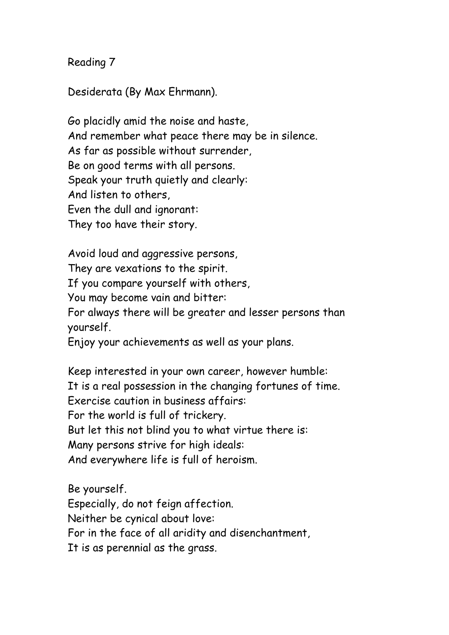Desiderata (By Max Ehrmann).

Go placidly amid the noise and haste, And remember what peace there may be in silence. As far as possible without surrender, Be on good terms with all persons. Speak your truth quietly and clearly: And listen to others, Even the dull and ignorant: They too have their story.

Avoid loud and aggressive persons, They are vexations to the spirit. If you compare yourself with others, You may become vain and bitter: For always there will be greater and lesser persons than yourself. Enjoy your achievements as well as your plans.

Keep interested in your own career, however humble: It is a real possession in the changing fortunes of time. Exercise caution in business affairs: For the world is full of trickery. But let this not blind you to what virtue there is: Many persons strive for high ideals: And everywhere life is full of heroism.

Be yourself. Especially, do not feign affection. Neither be cynical about love: For in the face of all aridity and disenchantment, It is as perennial as the grass.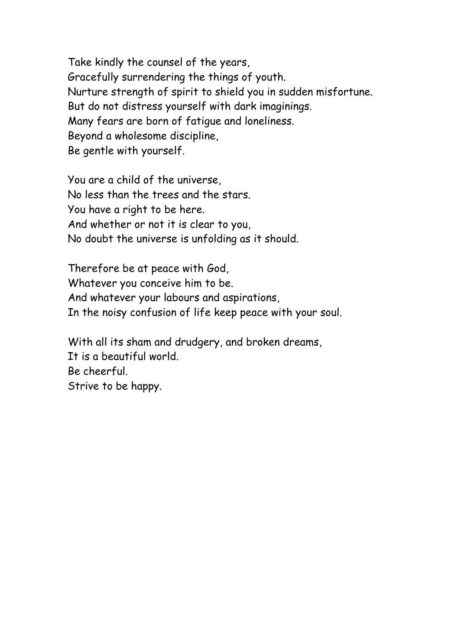Take kindly the counsel of the years, Gracefully surrendering the things of youth. Nurture strength of spirit to shield you in sudden misfortune. But do not distress yourself with dark imaginings. Many fears are born of fatigue and loneliness. Beyond a wholesome discipline, Be gentle with yourself.

You are a child of the universe, No less than the trees and the stars. You have a right to be here. And whether or not it is clear to you, No doubt the universe is unfolding as it should.

Therefore be at peace with God, Whatever you conceive him to be. And whatever your labours and aspirations, In the noisy confusion of life keep peace with your soul.

With all its sham and drudgery, and broken dreams, It is a beautiful world. Be cheerful. Strive to be happy.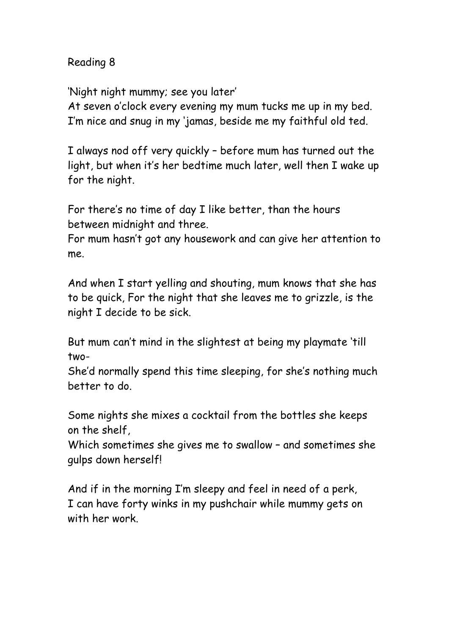'Night night mummy; see you later'

At seven o'clock every evening my mum tucks me up in my bed. I'm nice and snug in my 'jamas, beside me my faithful old ted.

I always nod off very quickly – before mum has turned out the light, but when it's her bedtime much later, well then I wake up for the night.

For there's no time of day I like better, than the hours between midnight and three.

For mum hasn't got any housework and can give her attention to me.

And when I start yelling and shouting, mum knows that she has to be quick, For the night that she leaves me to grizzle, is the night I decide to be sick.

But mum can't mind in the slightest at being my playmate 'till two-

She'd normally spend this time sleeping, for she's nothing much better to do.

Some nights she mixes a cocktail from the bottles she keeps on the shelf,

Which sometimes she gives me to swallow – and sometimes she gulps down herself!

And if in the morning I'm sleepy and feel in need of a perk, I can have forty winks in my pushchair while mummy gets on with her work.